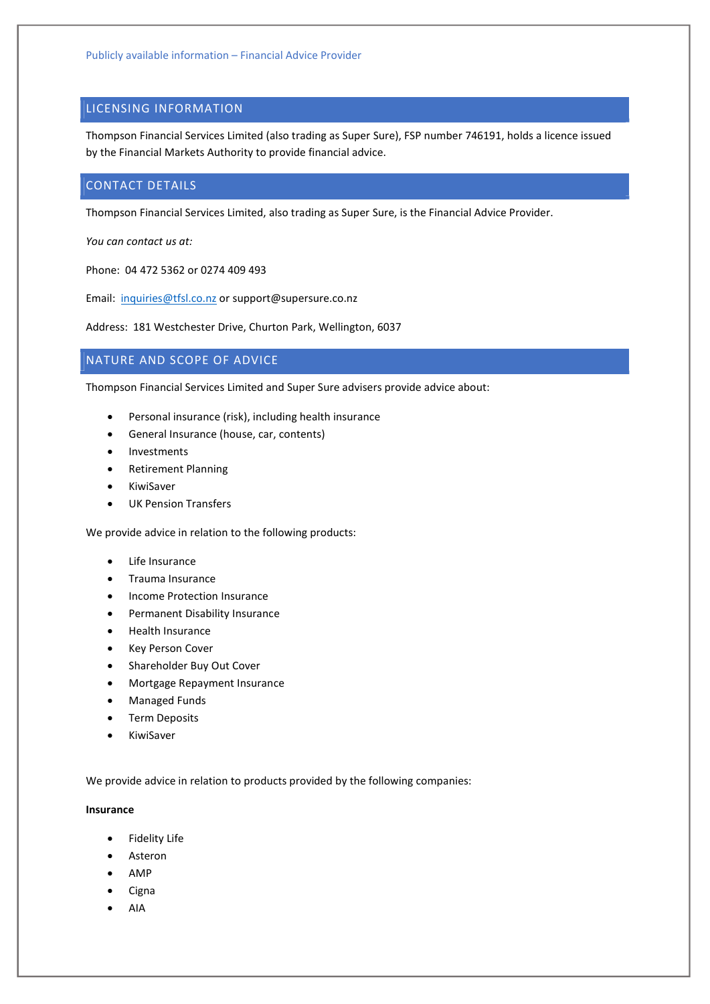## LICENSING INFORMATION

Thompson Financial Services Limited (also trading as Super Sure), FSP number 746191, holds a licence issued by the Financial Markets Authority to provide financial advice.

## CONTACT DETAILS

Thompson Financial Services Limited, also trading as Super Sure, is the Financial Advice Provider.

You can contact us at:

Phone: 04 472 5362 or 0274 409 493

Email: inquiries@tfsl.co.nz or support@supersure.co.nz

Address: 181 Westchester Drive, Churton Park, Wellington, 6037

# NATURE AND SCOPE OF ADVICE

Thompson Financial Services Limited and Super Sure advisers provide advice about:

- Personal insurance (risk), including health insurance
- General Insurance (house, car, contents)
- Investments
- Retirement Planning
- KiwiSaver
- UK Pension Transfers

We provide advice in relation to the following products:

- Life Insurance
- Trauma Insurance
- Income Protection Insurance
- Permanent Disability Insurance
- Health Insurance
- Key Person Cover
- Shareholder Buy Out Cover
- Mortgage Repayment Insurance
- Managed Funds
- **•** Term Deposits
- KiwiSaver

We provide advice in relation to products provided by the following companies:

#### Insurance

- **•** Fidelity Life
- Asteron
- AMP
- $\bullet$  Cigna
- AIA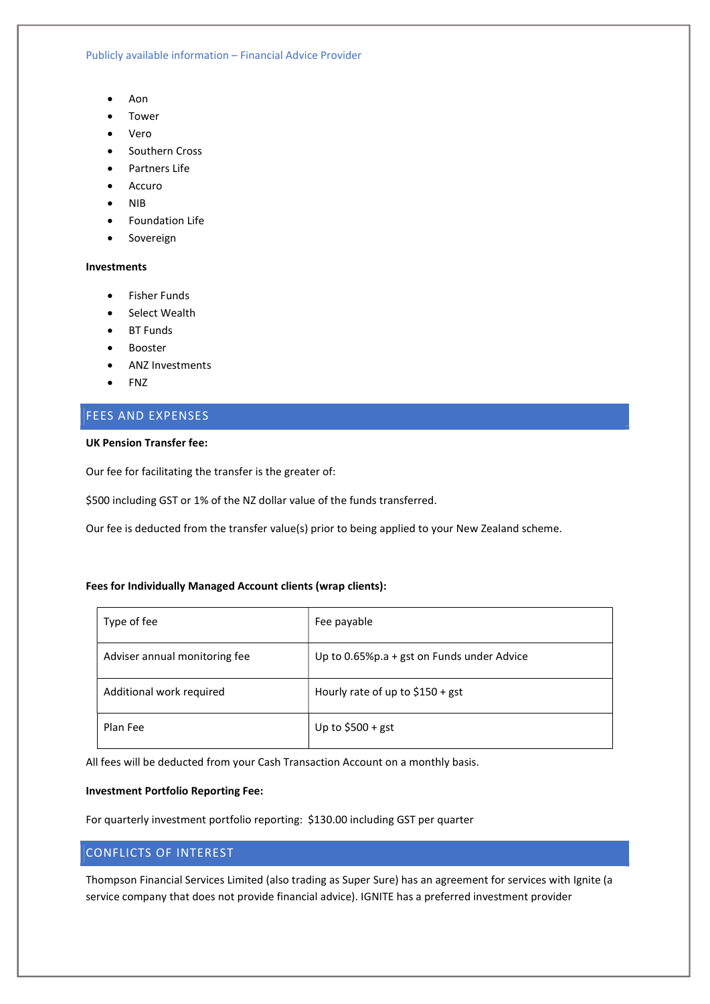Publicly available information – Financial Advice Provider

- Aon
- Tower
- Vero
- Southern Cross
- Partners Life
- Accuro
- $\bullet$  NIB
- Foundation Life
- Sovereign

### Investments

- **•** Fisher Funds
- Select Wealth
- BT Funds
- Booster
- ANZ Investments
- $\bullet$  FNZ

## FEES AND EXPENSES

### UK Pension Transfer fee:

Our fee for facilitating the transfer is the greater of:

\$500 including GST or 1% of the NZ dollar value of the funds transferred.

Our fee is deducted from the transfer value(s) prior to being applied to your New Zealand scheme.

## Fees for Individually Managed Account clients (wrap clients):

| Type of fee                   | Fee payable                                |
|-------------------------------|--------------------------------------------|
| Adviser annual monitoring fee | Up to 0.65%p.a + gst on Funds under Advice |
| Additional work required      | Hourly rate of up to $$150 + gst$          |
| Plan Fee                      | Up to $$500 + gst$                         |

All fees will be deducted from your Cash Transaction Account on a monthly basis.

### Investment Portfolio Reporting Fee:

For quarterly investment portfolio reporting: \$130.00 including GST per quarter

## CONFLICTS OF INTEREST

Thompson Financial Services Limited (also trading as Super Sure) has an agreement for services with Ignite (a service company that does not provide financial advice). IGNITE has a preferred investment provider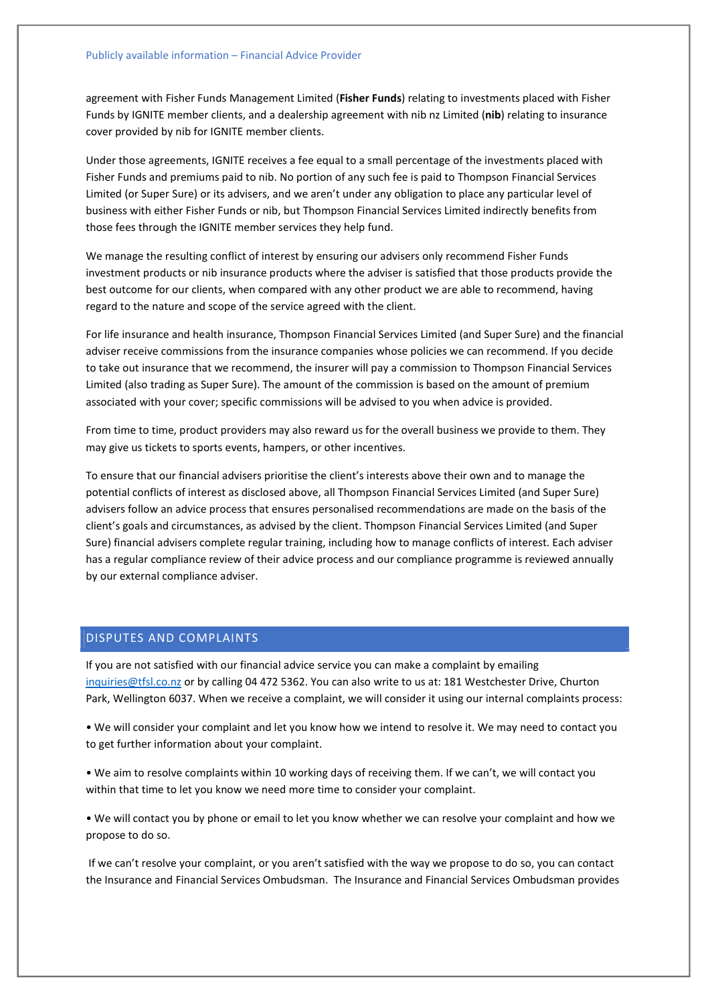agreement with Fisher Funds Management Limited (Fisher Funds) relating to investments placed with Fisher Funds by IGNITE member clients, and a dealership agreement with nib nz Limited (nib) relating to insurance cover provided by nib for IGNITE member clients.

Under those agreements, IGNITE receives a fee equal to a small percentage of the investments placed with Fisher Funds and premiums paid to nib. No portion of any such fee is paid to Thompson Financial Services Limited (or Super Sure) or its advisers, and we aren't under any obligation to place any particular level of business with either Fisher Funds or nib, but Thompson Financial Services Limited indirectly benefits from those fees through the IGNITE member services they help fund.

We manage the resulting conflict of interest by ensuring our advisers only recommend Fisher Funds investment products or nib insurance products where the adviser is satisfied that those products provide the best outcome for our clients, when compared with any other product we are able to recommend, having regard to the nature and scope of the service agreed with the client.

For life insurance and health insurance, Thompson Financial Services Limited (and Super Sure) and the financial adviser receive commissions from the insurance companies whose policies we can recommend. If you decide to take out insurance that we recommend, the insurer will pay a commission to Thompson Financial Services Limited (also trading as Super Sure). The amount of the commission is based on the amount of premium associated with your cover; specific commissions will be advised to you when advice is provided.

From time to time, product providers may also reward us for the overall business we provide to them. They may give us tickets to sports events, hampers, or other incentives.

To ensure that our financial advisers prioritise the client's interests above their own and to manage the potential conflicts of interest as disclosed above, all Thompson Financial Services Limited (and Super Sure) advisers follow an advice process that ensures personalised recommendations are made on the basis of the client's goals and circumstances, as advised by the client. Thompson Financial Services Limited (and Super Sure) financial advisers complete regular training, including how to manage conflicts of interest. Each adviser has a regular compliance review of their advice process and our compliance programme is reviewed annually by our external compliance adviser.

## DISPUTES AND COMPLAINTS

If you are not satisfied with our financial advice service you can make a complaint by emailing inquiries@tfsl.co.nz or by calling 04 472 5362. You can also write to us at: 181 Westchester Drive, Churton Park, Wellington 6037. When we receive a complaint, we will consider it using our internal complaints process:

• We will consider your complaint and let you know how we intend to resolve it. We may need to contact you to get further information about your complaint.

• We aim to resolve complaints within 10 working days of receiving them. If we can't, we will contact you within that time to let you know we need more time to consider your complaint.

• We will contact you by phone or email to let you know whether we can resolve your complaint and how we propose to do so.

 If we can't resolve your complaint, or you aren't satisfied with the way we propose to do so, you can contact the Insurance and Financial Services Ombudsman. The Insurance and Financial Services Ombudsman provides